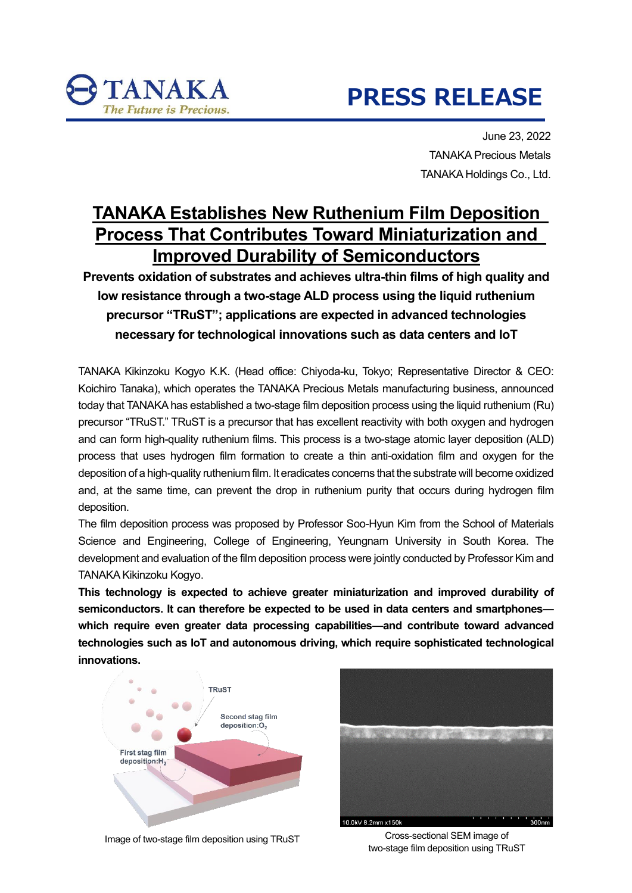# **PRESS RELEASE**

June 23, 2022 TANAKA Precious Metals TANAKA Holdings Co., Ltd.

## **TANAKA Establishes New Ruthenium Film Deposition Process That Contributes Toward Miniaturization and Improved Durability of Semiconductors**

**Prevents oxidation of substrates and achieves ultra-thin films of high quality and low resistance through a two-stage ALD process using the liquid ruthenium precursor "TRuST"; applications are expected in advanced technologies necessary for technological innovations such as data centers and IoT**

TANAKA Kikinzoku Kogyo K.K. (Head office: Chiyoda-ku, Tokyo; Representative Director & CEO: Koichiro Tanaka), which operates the TANAKA Precious Metals manufacturing business, announced today that TANAKA has established a two-stage film deposition process using the liquid ruthenium (Ru) precursor "TRuST." TRuST is a precursor that has excellent reactivity with both oxygen and hydrogen and can form high-quality ruthenium films. This process is a two-stage atomic layer deposition (ALD) process that uses hydrogen film formation to create a thin anti-oxidation film and oxygen for the deposition of a high-quality ruthenium film. It eradicates concerns that the substrate will become oxidized and, at the same time, can prevent the drop in ruthenium purity that occurs during hydrogen film deposition.

The film deposition process was proposed by Professor Soo-Hyun Kim from the School of Materials Science and Engineering, College of Engineering, Yeungnam University in South Korea. The development and evaluation of the film deposition process were jointly conducted by Professor Kim and TANAKA Kikinzoku Kogyo.

**This technology is expected to achieve greater miniaturization and improved durability of semiconductors. It can therefore be expected to be used in data centers and smartphones which require even greater data processing capabilities—and contribute toward advanced technologies such as IoT and autonomous driving, which require sophisticated technological innovations.**



TANAKA

Image of two-stage film deposition using TRuST



Cross-sectional SEM image of two-stage film deposition using TRuST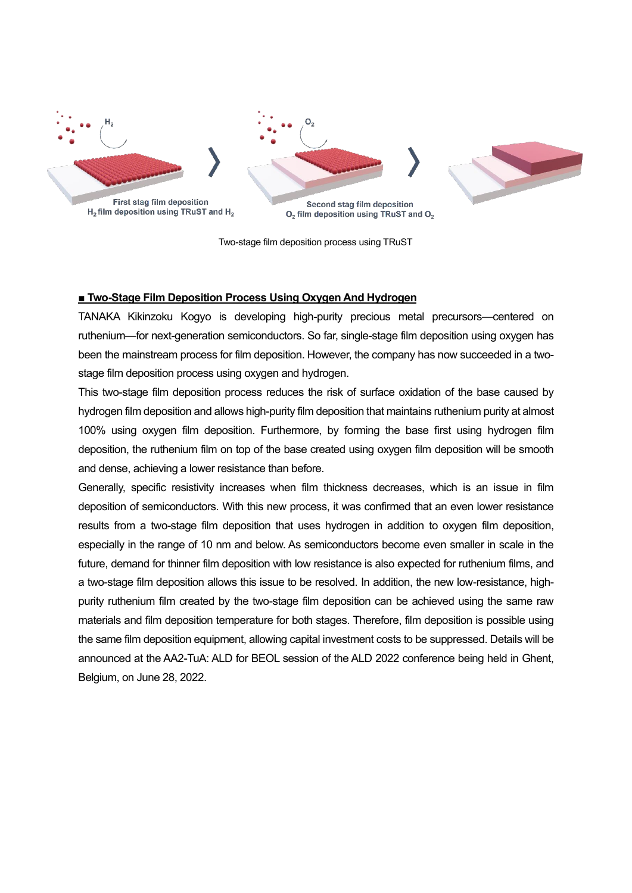

Two-stage film deposition process using TRuST

#### **■ Two-Stage Film Deposition Process Using Oxygen And Hydrogen**

TANAKA Kikinzoku Kogyo is developing high-purity precious metal precursors—centered on ruthenium—for next-generation semiconductors. So far, single-stage film deposition using oxygen has been the mainstream process for film deposition. However, the company has now succeeded in a twostage film deposition process using oxygen and hydrogen.

This two-stage film deposition process reduces the risk of surface oxidation of the base caused by hydrogen film deposition and allows high-purity film deposition that maintains ruthenium purity at almost 100% using oxygen film deposition. Furthermore, by forming the base first using hydrogen film deposition, the ruthenium film on top of the base created using oxygen film deposition will be smooth and dense, achieving a lower resistance than before.

Generally, specific resistivity increases when film thickness decreases, which is an issue in film deposition of semiconductors. With this new process, it was confirmed that an even lower resistance results from a two-stage film deposition that uses hydrogen in addition to oxygen film deposition, especially in the range of 10 nm and below. As semiconductors become even smaller in scale in the future, demand for thinner film deposition with low resistance is also expected for ruthenium films, and a two-stage film deposition allows this issue to be resolved. In addition, the new low-resistance, highpurity ruthenium film created by the two-stage film deposition can be achieved using the same raw materials and film deposition temperature for both stages. Therefore, film deposition is possible using the same film deposition equipment, allowing capital investment costs to be suppressed. Details will be announced at the AA2-TuA: ALD for BEOL session of the ALD 2022 conference being held in Ghent, Belgium, on June 28, 2022.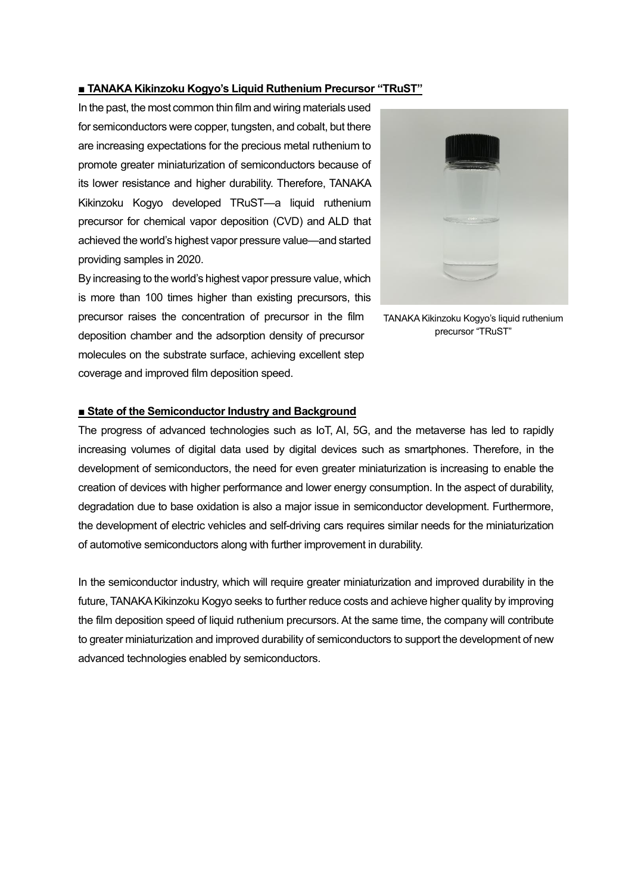#### **■ TANAKA Kikinzoku Kogyo's Liquid Ruthenium Precursor "TRuST"**

In the past, the most common thin film and wiring materials used for semiconductors were copper, tungsten, and cobalt, but there are increasing expectations for the precious metal ruthenium to promote greater miniaturization of semiconductors because of its lower resistance and higher durability. Therefore, TANAKA Kikinzoku Kogyo developed TRuST—a liquid ruthenium precursor for chemical vapor deposition (CVD) and ALD that achieved the world's highest vapor pressure value—and started providing samples in 2020.

By increasing to the world's highest vapor pressure value, which is more than 100 times higher than existing precursors, this precursor raises the concentration of precursor in the film deposition chamber and the adsorption density of precursor molecules on the substrate surface, achieving excellent step coverage and improved film deposition speed.



TANAKA Kikinzoku Kogyo's liquid ruthenium precursor "TRuST"

### **■ State of the Semiconductor Industry and Background**

The progress of advanced technologies such as IoT, AI, 5G, and the metaverse has led to rapidly increasing volumes of digital data used by digital devices such as smartphones. Therefore, in the development of semiconductors, the need for even greater miniaturization is increasing to enable the creation of devices with higher performance and lower energy consumption. In the aspect of durability, degradation due to base oxidation is also a major issue in semiconductor development. Furthermore, the development of electric vehicles and self-driving cars requires similar needs for the miniaturization of automotive semiconductors along with further improvement in durability.

In the semiconductor industry, which will require greater miniaturization and improved durability in the future, TANAKA Kikinzoku Kogyo seeks to further reduce costs and achieve higher quality by improving the film deposition speed of liquid ruthenium precursors. At the same time, the company will contribute to greater miniaturization and improved durability of semiconductors to support the development of new advanced technologies enabled by semiconductors.